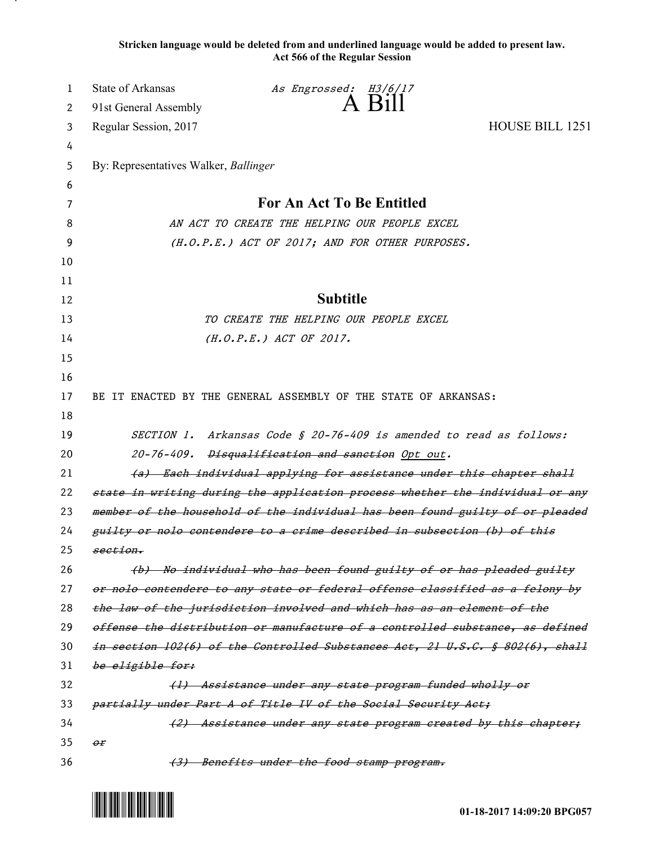**Stricken language would be deleted from and underlined language would be added to present law. Act 566 of the Regular Session**

| 1  | <b>State of Arkansas</b>                                                      | As Engrossed: H3/6/17                                                        |                 |
|----|-------------------------------------------------------------------------------|------------------------------------------------------------------------------|-----------------|
| 2  | 91st General Assembly                                                         | A Bill                                                                       |                 |
| 3  | Regular Session, 2017                                                         |                                                                              | HOUSE BILL 1251 |
| 4  |                                                                               |                                                                              |                 |
| 5  | By: Representatives Walker, Ballinger                                         |                                                                              |                 |
| 6  |                                                                               |                                                                              |                 |
| 7  | For An Act To Be Entitled                                                     |                                                                              |                 |
| 8  | AN ACT TO CREATE THE HELPING OUR PEOPLE EXCEL                                 |                                                                              |                 |
| 9  | (H.O.P.E.) ACT OF 2017; AND FOR OTHER PURPOSES.                               |                                                                              |                 |
| 10 |                                                                               |                                                                              |                 |
| 11 |                                                                               |                                                                              |                 |
| 12 |                                                                               | <b>Subtitle</b>                                                              |                 |
| 13 |                                                                               | TO CREATE THE HELPING OUR PEOPLE EXCEL                                       |                 |
| 14 |                                                                               | $(H.O.P.E.)$ ACT OF 2017.                                                    |                 |
| 15 |                                                                               |                                                                              |                 |
| 16 |                                                                               |                                                                              |                 |
| 17 |                                                                               | BE IT ENACTED BY THE GENERAL ASSEMBLY OF THE STATE OF ARKANSAS:              |                 |
| 18 |                                                                               |                                                                              |                 |
| 19 |                                                                               | SECTION 1. Arkansas Code § 20-76-409 is amended to read as follows:          |                 |
| 20 | 20-76-409. Disqualification and sanction Opt out.                             |                                                                              |                 |
| 21 | (a) Each individual applying for assistance under this chapter shall          |                                                                              |                 |
| 22 | state in writing during the application process whether the individual or any |                                                                              |                 |
| 23 | member of the household of the individual has been found guilty of or pleaded |                                                                              |                 |
| 24 | guilty or nolo contendere to a crime described in subsection (b) of this      |                                                                              |                 |
| 25 | section.                                                                      |                                                                              |                 |
| 26 |                                                                               | (b) No individual who has been found guilty of or has pleaded guilty         |                 |
| 27 |                                                                               | or nolo contendere to any state or federal offense classified as a felony by |                 |
| 28 | the law of the jurisdiction involved and which has as an element of the       |                                                                              |                 |
| 29 | offense the distribution or manufacture of a controlled substance, as defined |                                                                              |                 |
| 30 | in section 102(6) of the Controlled Substances Act, 21 U.S.C. § 802(6), shall |                                                                              |                 |
| 31 | be eligible for:                                                              |                                                                              |                 |
| 32 |                                                                               | (1) Assistance under any state program funded wholly or                      |                 |
| 33 | partially under Part A of Title IV of the Social Security Act;                |                                                                              |                 |
| 34 |                                                                               | (2) Assistance under any state program created by this chapter;              |                 |
| 35 | $\theta$ r                                                                    |                                                                              |                 |
| 36 |                                                                               | (3) Benefits under the food stamp program.                                   |                 |



.